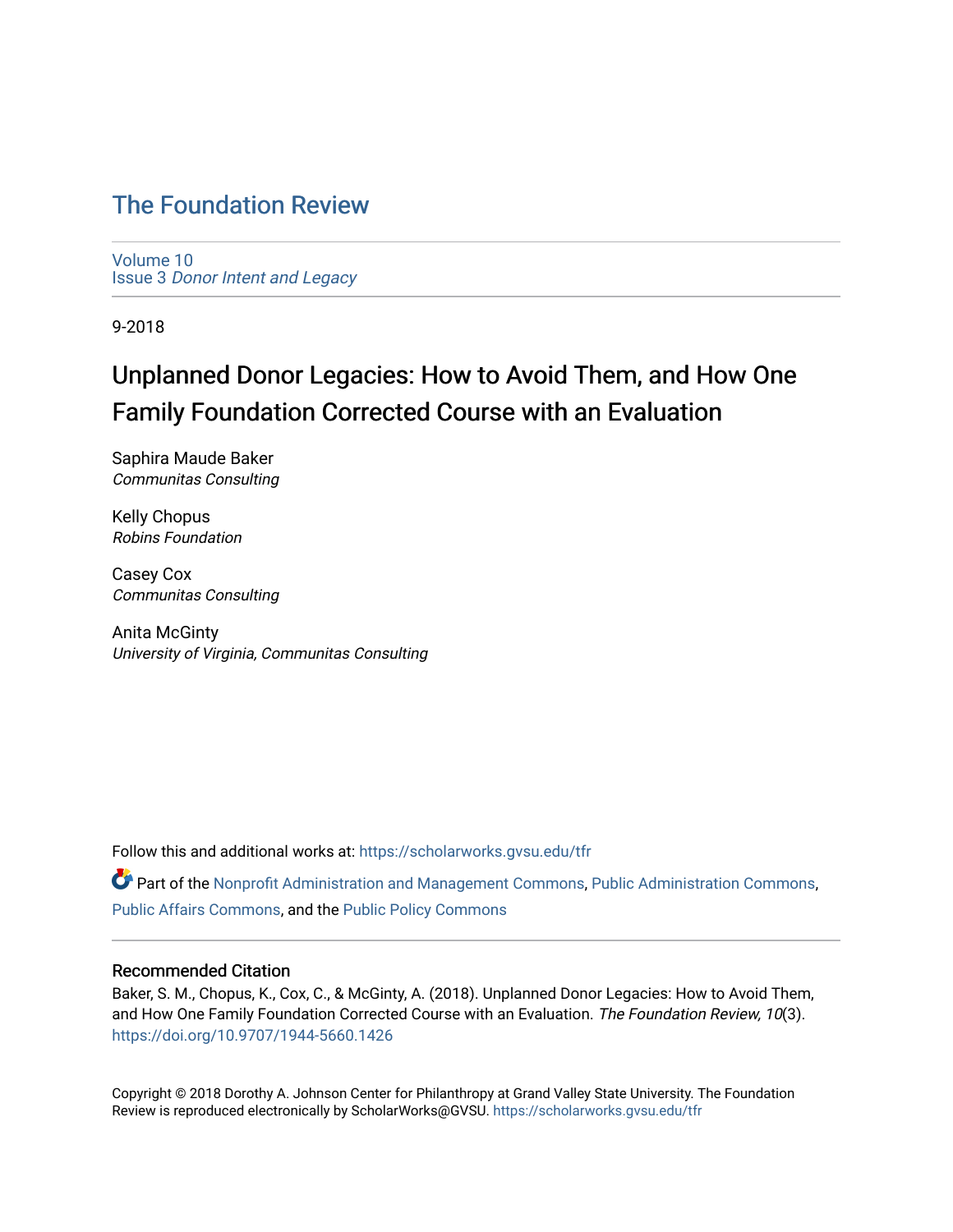# [The Foundation Review](https://scholarworks.gvsu.edu/tfr)

[Volume 10](https://scholarworks.gvsu.edu/tfr/vol10) Issue 3 [Donor Intent and Legacy](https://scholarworks.gvsu.edu/tfr/vol10/iss3) 

9-2018

# Unplanned Donor Legacies: How to Avoid Them, and How One Family Foundation Corrected Course with an Evaluation

Saphira Maude Baker Communitas Consulting

Kelly Chopus Robins Foundation

Casey Cox Communitas Consulting

Anita McGinty University of Virginia, Communitas Consulting

Follow this and additional works at: [https://scholarworks.gvsu.edu/tfr](https://scholarworks.gvsu.edu/tfr?utm_source=scholarworks.gvsu.edu%2Ftfr%2Fvol10%2Fiss3%2F7&utm_medium=PDF&utm_campaign=PDFCoverPages)

Part of the [Nonprofit Administration and Management Commons,](http://network.bepress.com/hgg/discipline/1228?utm_source=scholarworks.gvsu.edu%2Ftfr%2Fvol10%2Fiss3%2F7&utm_medium=PDF&utm_campaign=PDFCoverPages) [Public Administration Commons](http://network.bepress.com/hgg/discipline/398?utm_source=scholarworks.gvsu.edu%2Ftfr%2Fvol10%2Fiss3%2F7&utm_medium=PDF&utm_campaign=PDFCoverPages), [Public Affairs Commons](http://network.bepress.com/hgg/discipline/399?utm_source=scholarworks.gvsu.edu%2Ftfr%2Fvol10%2Fiss3%2F7&utm_medium=PDF&utm_campaign=PDFCoverPages), and the [Public Policy Commons](http://network.bepress.com/hgg/discipline/400?utm_source=scholarworks.gvsu.edu%2Ftfr%2Fvol10%2Fiss3%2F7&utm_medium=PDF&utm_campaign=PDFCoverPages) 

# Recommended Citation

Baker, S. M., Chopus, K., Cox, C., & McGinty, A. (2018). Unplanned Donor Legacies: How to Avoid Them, and How One Family Foundation Corrected Course with an Evaluation. The Foundation Review, 10(3). <https://doi.org/10.9707/1944-5660.1426>

Copyright © 2018 Dorothy A. Johnson Center for Philanthropy at Grand Valley State University. The Foundation Review is reproduced electronically by ScholarWorks@GVSU.<https://scholarworks.gvsu.edu/tfr>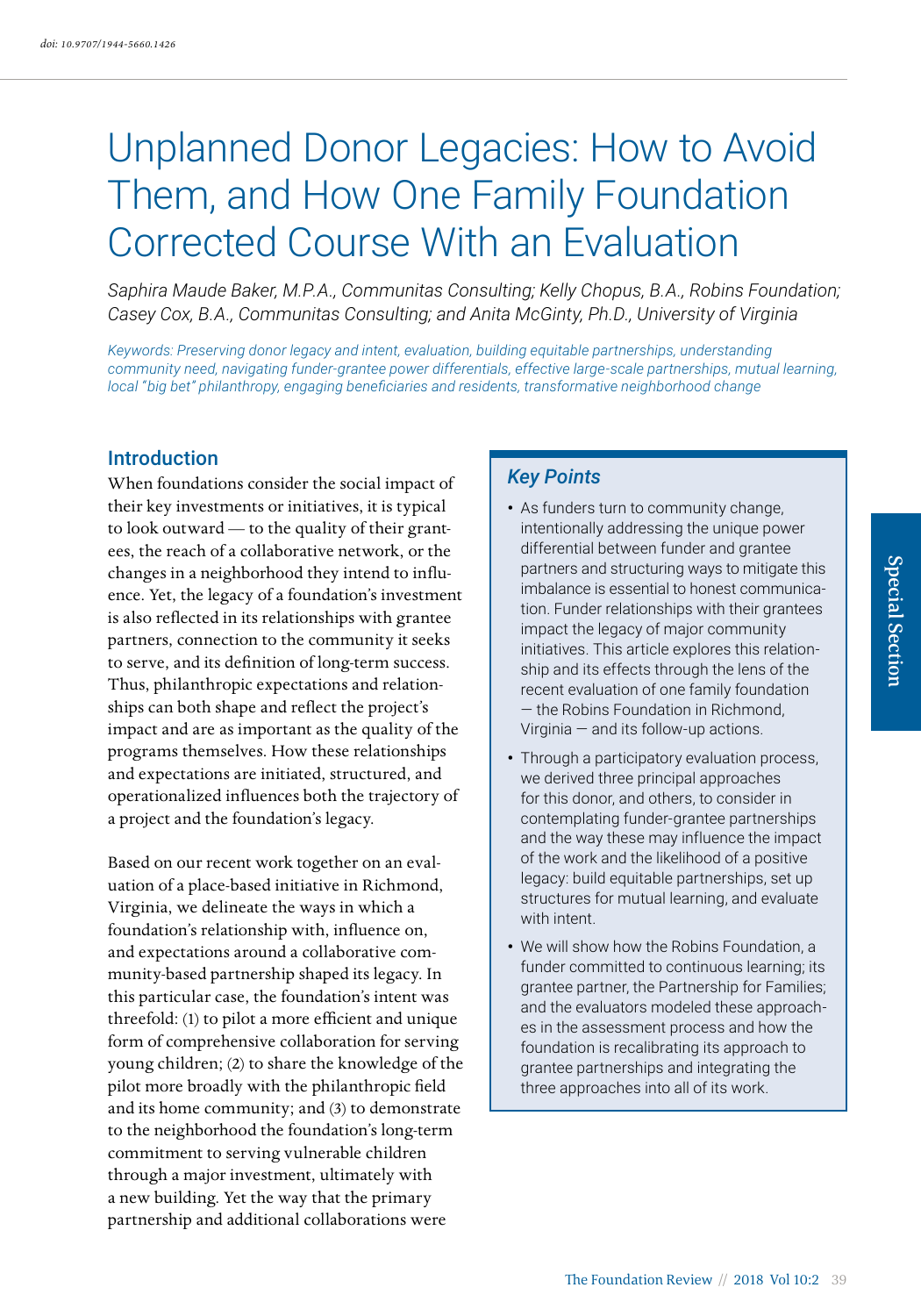# Unplanned Donor Legacies: How to Avoid Them, and How One Family Foundation Corrected Course With an Evaluation

*Saphira Maude Baker, M.P.A., Communitas Consulting; Kelly Chopus, B.A., Robins Foundation; Casey Cox, B.A., Communitas Consulting; and Anita McGinty, Ph.D., University of Virginia*

*Keywords: Preserving donor legacy and intent, evaluation, building equitable partnerships, understanding community need, navigating funder-grantee power differentials, effective large-scale partnerships, mutual learning, local "big bet" philanthropy, engaging beneficiaries and residents, transformative neighborhood change*

# **Introduction**

When foundations consider the social impact of their key investments or initiatives, it is typical to look outward — to the quality of their grantees, the reach of a collaborative network, or the changes in a neighborhood they intend to influence. Yet, the legacy of a foundation's investment is also reflected in its relationships with grantee partners, connection to the community it seeks to serve, and its definition of long-term success. Thus, philanthropic expectations and relationships can both shape and reflect the project's impact and are as important as the quality of the programs themselves. How these relationships and expectations are initiated, structured, and operationalized influences both the trajectory of a project and the foundation's legacy.

Based on our recent work together on an evaluation of a place-based initiative in Richmond, Virginia, we delineate the ways in which a foundation's relationship with, influence on, and expectations around a collaborative community-based partnership shaped its legacy. In this particular case, the foundation's intent was threefold: (1) to pilot a more efficient and unique form of comprehensive collaboration for serving young children; (2) to share the knowledge of the pilot more broadly with the philanthropic field and its home community; and (3) to demonstrate to the neighborhood the foundation's long-term commitment to serving vulnerable children through a major investment, ultimately with a new building. Yet the way that the primary partnership and additional collaborations were

# *Key Points*

- As funders turn to community change, intentionally addressing the unique power differential between funder and grantee partners and structuring ways to mitigate this imbalance is essential to honest communication. Funder relationships with their grantees impact the legacy of major community initiatives. This article explores this relationship and its effects through the lens of the recent evaluation of one family foundation — the Robins Foundation in Richmond, Virginia — and its follow-up actions.
- Through a participatory evaluation process, we derived three principal approaches for this donor, and others, to consider in contemplating funder-grantee partnerships and the way these may influence the impact of the work and the likelihood of a positive legacy: build equitable partnerships, set up structures for mutual learning, and evaluate with intent.
- We will show how the Robins Foundation, a funder committed to continuous learning; its grantee partner, the Partnership for Families; and the evaluators modeled these approaches in the assessment process and how the foundation is recalibrating its approach to grantee partnerships and integrating the three approaches into all of its work.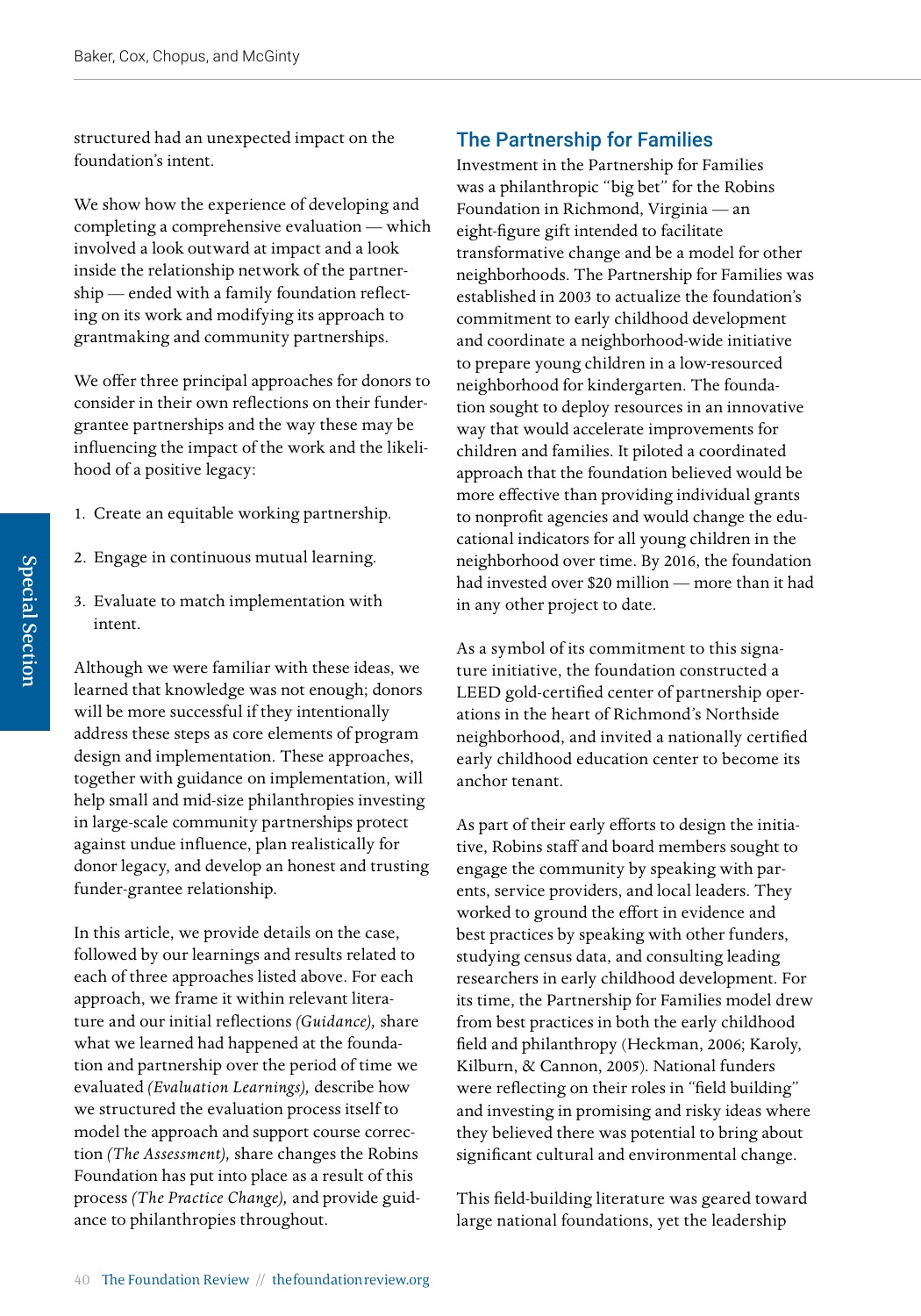structured had an unexpected impact on the foundation's intent.

We show how the experience of developing and completing a comprehensive evaluation — which involved a look outward at impact and a look inside the relationship network of the partnership — ended with a family foundation reflecting on its work and modifying its approach to grantmaking and community partnerships.

We offer three principal approaches for donors to consider in their own reflections on their fundergrantee partnerships and the way these may be influencing the impact of the work and the likelihood of a positive legacy:

- 1. Create an equitable working partnership.
- 2. Engage in continuous mutual learning.
- 3. Evaluate to match implementation with intent.

Although we were familiar with these ideas, we learned that knowledge was not enough; donors will be more successful if they intentionally address these steps as core elements of program design and implementation. These approaches, together with guidance on implementation, will help small and mid-size philanthropies investing in large-scale community partnerships protect against undue influence, plan realistically for donor legacy, and develop an honest and trusting funder-grantee relationship.

In this article, we provide details on the case, followed by our learnings and results related to each of three approaches listed above. For each approach, we frame it within relevant literature and our initial reflections *(Guidance),* share what we learned had happened at the foundation and partnership over the period of time we evaluated *(Evaluation Learnings),* describe how we structured the evaluation process itself to model the approach and support course correction *(The Assessment),* share changes the Robins Foundation has put into place as a result of this process *(The Practice Change),* and provide guidance to philanthropies throughout.

# The Partnership for Families

Investment in the Partnership for Families was a philanthropic "big bet" for the Robins Foundation in Richmond, Virginia — an eight-figure gift intended to facilitate transformative change and be a model for other neighborhoods. The Partnership for Families was established in 2003 to actualize the foundation's commitment to early childhood development and coordinate a neighborhood-wide initiative to prepare young children in a low-resourced neighborhood for kindergarten. The foundation sought to deploy resources in an innovative way that would accelerate improvements for children and families. It piloted a coordinated approach that the foundation believed would be more effective than providing individual grants to nonprofit agencies and would change the educational indicators for all young children in the neighborhood over time. By 2016, the foundation had invested over \$20 million — more than it had in any other project to date.

As a symbol of its commitment to this signature initiative, the foundation constructed a LEED gold-certified center of partnership operations in the heart of Richmond's Northside neighborhood, and invited a nationally certified early childhood education center to become its anchor tenant.

As part of their early efforts to design the initiative, Robins staff and board members sought to engage the community by speaking with parents, service providers, and local leaders. They worked to ground the effort in evidence and best practices by speaking with other funders, studying census data, and consulting leading researchers in early childhood development. For its time, the Partnership for Families model drew from best practices in both the early childhood field and philanthropy (Heckman, 2006; Karoly, Kilburn, & Cannon, 2005). National funders were reflecting on their roles in "field building" and investing in promising and risky ideas where they believed there was potential to bring about significant cultural and environmental change.

This field-building literature was geared toward large national foundations, yet the leadership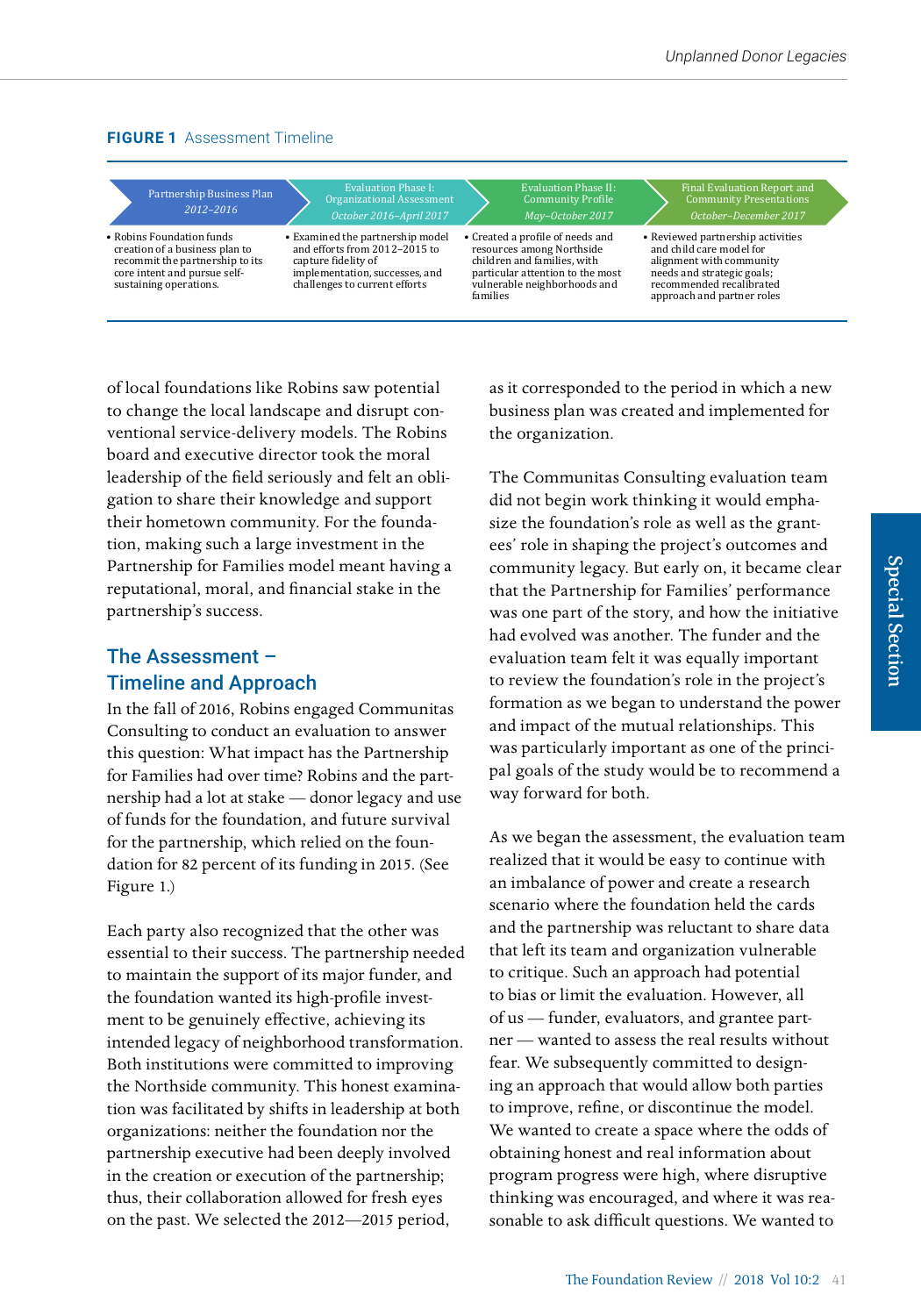## **FIGURE 1** Assessment Timeline



of local foundations like Robins saw potential to change the local landscape and disrupt con-<br>to change the local landscape and disrupt con-<br>pusiness plan was created ventional service-delivery models. The Robins board and executive director took the moral documents in this process, we recommend the security of  $\alpha$ leadership of the field seriously and felt an obli- The Communitas Consulting evaluation team gation to share their knowledge and support did not begin work thinking it would e their hometown community. For the foundation, making such a large investment in the Partnership for Families model meant having a community legative results with a nonprofit share negative results without risk? reputational, moral, and financial stake in the sthat the Partnership for Families' perform partnership's success.

# The Assessment – Timeline and Approach

In the fall of 2016, Robins engaged Communitas formation as we began to understa Consulting to conduct an evaluation to answer and impact of the mutual relationships. this question: What impact has the Partnership for Families had over time? Robins and the partnership had a lot at stake — donor legacy and use way forward for both.<br>nership had a lot at stake — donor legacy and use way forward for both. neising that a for at stake and those in the foundation and future survival for the partnership, which relied on the foundation for 82 percent of its funding in 2015. (See Figure 1.) or runds for the foundation, and future survival<br>cor the partnership, which relied on the foun-**As we began the assessment, the evaluation** team or the partnership, which relied on the loun-the well-separate assessment, the examinent control of the lound be<br>dation for 82 percent of its funding in 2015. (See a strained that it would be easy to continue with and interest of the intended intended intended intended intended intended intended intended intended intended<br>Figure 1.

Each party also recognized that the other was Extern party also recognized that the other was to maintain the support of its major funder, and the foundation wanted its high-profile investment to be genuinely effective, achieving its of us — funder, evaluators, and grantee partintended legacy of neighborhood transformation. Both institutions were committed to improving the Northside community. This honest examination was facilitated by shifts in leadership at both to improve, refine, or discontinue the model.<br>We record to assess as participants in this process, we recommend the added donors considered to added the constant of the organizations: neither the foundation nor the organizations. Initiative the foundation flore the we wanted to create a space partnership executive had been deeply involved obtaining honest and real i in the creation or execution of the partnership; thus, their collaboration allowed for fresh eyes on the past. We selected the 2012—2015 period,

as it corresponded to the period in which a new business plan was created and implemented for the organization.

The Communitas Consulting evaluation team did not begin work thinking it would emphasize the foundation's role as well as the grantees' role in shaping the project's outcomes and community legacy. But early on, it became clear that the Partnership for Families' performance definition of the story, and how the initiative ership's success. had evolved was another. The funder and the **Even when a philanthropy can answer affilial The Assessment –** evaluation team felt it was equally important the **Assessment Timeline and Approach** way to review the foundation's role in the project's formation as we began to understand the power and impact of the mutual relationships. This was particularly important as one of the principal goals of the study would be to recommend a way forward for both.

scenario where the foundation held the cards and grantees can communicate communication and decision-making and  $\frac{1}{2}$  scenario where the foundation held the cards <u>Each party also recognized that the other was</u> and the partnership was reluctant to share data and the partnership was reluctant to share data that left its team and organization vulnerable to critique. Such an approach had potential to bias or limit the evaluation. However, all of us — funder, evaluators, and grantee partner — wanted to assess the real results without fear. We subsequently committed to designing an approach that would allow both parties to improve, refine, or discontinue the model. We wanted to create a space where the odds of obtaining honest and real information about program progress were high, where disruptive thinking was encouraged, and where it was reasonable to ask difficult questions. We wanted to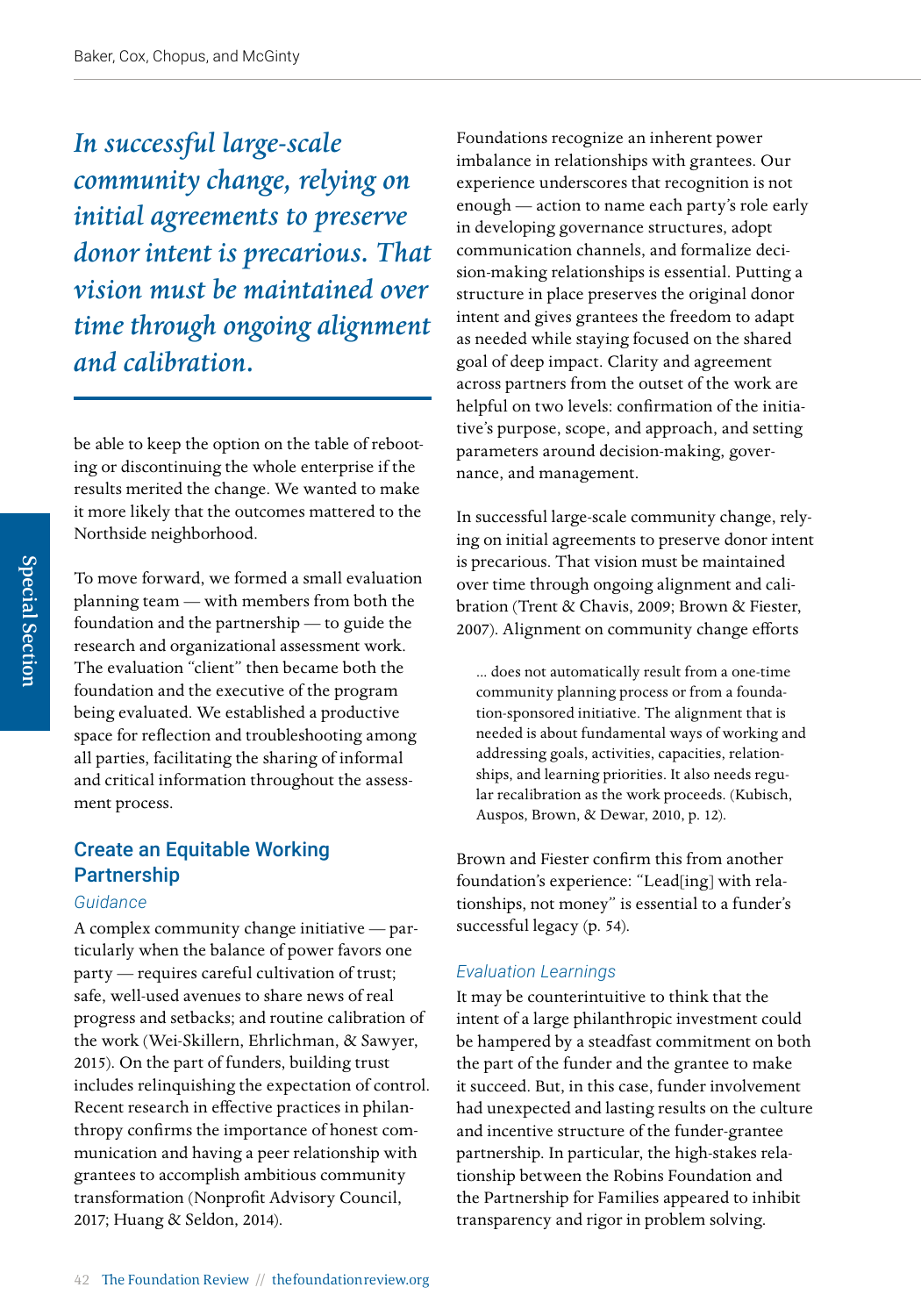*In successful large-scale community change, relying on initial agreements to preserve donor intent is precarious. That vision must be maintained over time through ongoing alignment and calibration.*

be able to keep the option on the table of rebooting or discontinuing the whole enterprise if the results merited the change. We wanted to make it more likely that the outcomes mattered to the Northside neighborhood.

To move forward, we formed a small evaluation planning team — with members from both the foundation and the partnership — to guide the research and organizational assessment work. The evaluation "client" then became both the foundation and the executive of the program being evaluated. We established a productive space for reflection and troubleshooting among all parties, facilitating the sharing of informal and critical information throughout the assessment process.

# Create an Equitable Working Partnership

#### *Guidance*

A complex community change initiative — particularly when the balance of power favors one party — requires careful cultivation of trust; safe, well-used avenues to share news of real progress and setbacks; and routine calibration of the work (Wei-Skillern, Ehrlichman, & Sawyer, 2015). On the part of funders, building trust includes relinquishing the expectation of control. Recent research in effective practices in philanthropy confirms the importance of honest communication and having a peer relationship with grantees to accomplish ambitious community transformation (Nonprofit Advisory Council, 2017; Huang & Seldon, 2014).

Foundations recognize an inherent power imbalance in relationships with grantees. Our experience underscores that recognition is not enough — action to name each party's role early in developing governance structures, adopt communication channels, and formalize decision-making relationships is essential. Putting a structure in place preserves the original donor intent and gives grantees the freedom to adapt as needed while staying focused on the shared goal of deep impact. Clarity and agreement across partners from the outset of the work are helpful on two levels: confirmation of the initiative's purpose, scope, and approach, and setting parameters around decision-making, governance, and management.

In successful large-scale community change, relying on initial agreements to preserve donor intent is precarious. That vision must be maintained over time through ongoing alignment and calibration (Trent & Chavis, 2009; Brown & Fiester, 2007). Alignment on community change efforts

... does not automatically result from a one-time community planning process or from a foundation-sponsored initiative. The alignment that is needed is about fundamental ways of working and addressing goals, activities, capacities, relationships, and learning priorities. It also needs regular recalibration as the work proceeds. (Kubisch, Auspos, Brown, & Dewar, 2010, p. 12).

Brown and Fiester confirm this from another foundation's experience: "Lead[ing] with relationships, not money" is essential to a funder's successful legacy (p. 54).

## *Evaluation Learnings*

It may be counterintuitive to think that the intent of a large philanthropic investment could be hampered by a steadfast commitment on both the part of the funder and the grantee to make it succeed. But, in this case, funder involvement had unexpected and lasting results on the culture and incentive structure of the funder-grantee partnership. In particular, the high-stakes relationship between the Robins Foundation and the Partnership for Families appeared to inhibit transparency and rigor in problem solving.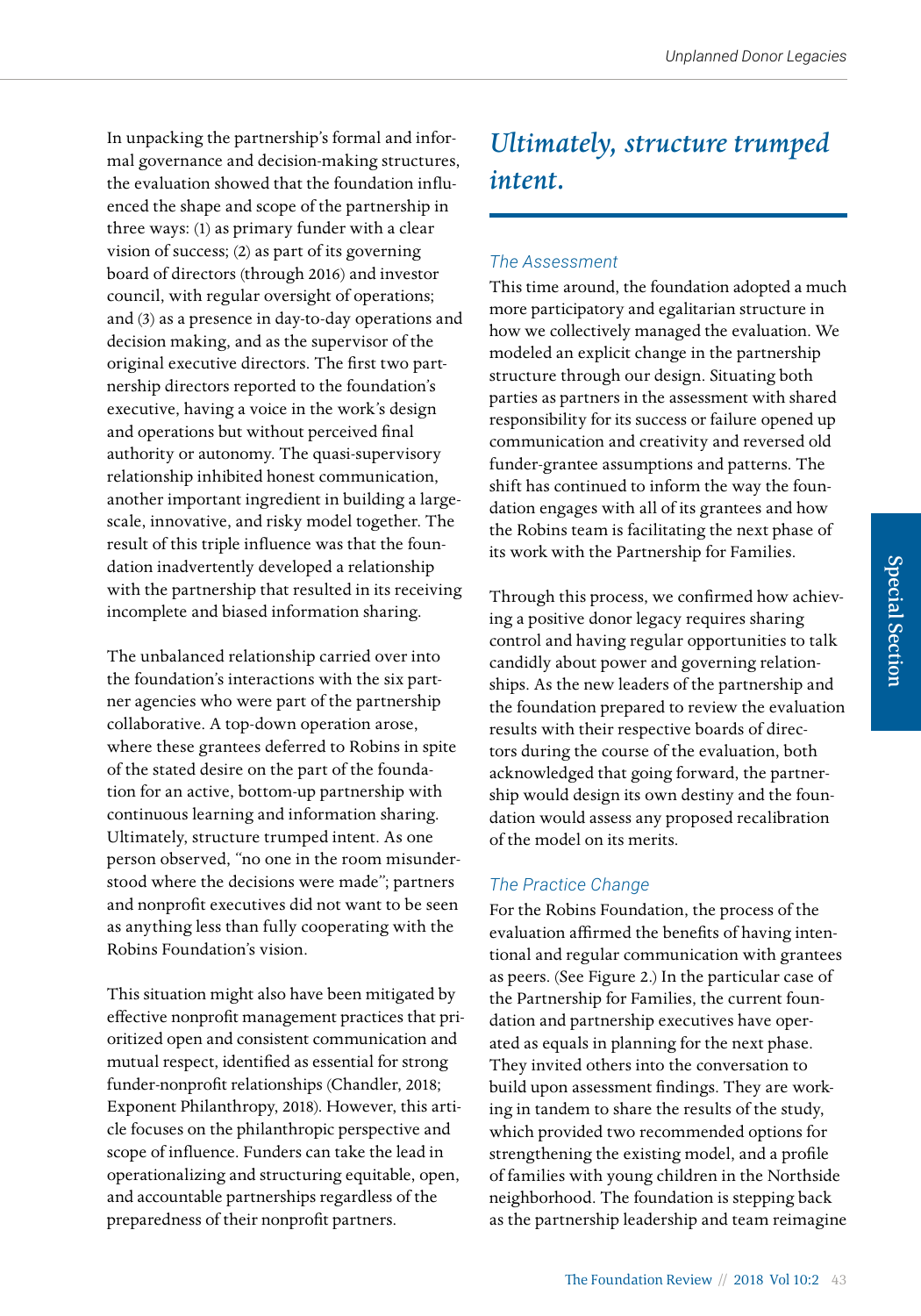In unpacking the partnership's formal and informal governance and decision-making structures, the evaluation showed that the foundation influenced the shape and scope of the partnership in three ways: (1) as primary funder with a clear vision of success; (2) as part of its governing board of directors (through 2016) and investor council, with regular oversight of operations; and (3) as a presence in day-to-day operations and decision making, and as the supervisor of the original executive directors. The first two partnership directors reported to the foundation's executive, having a voice in the work's design and operations but without perceived final authority or autonomy. The quasi-supervisory relationship inhibited honest communication, another important ingredient in building a largescale, innovative, and risky model together. The result of this triple influence was that the foundation inadvertently developed a relationship with the partnership that resulted in its receiving incomplete and biased information sharing.

The unbalanced relationship carried over into the foundation's interactions with the six partner agencies who were part of the partnership collaborative. A top-down operation arose, where these grantees deferred to Robins in spite of the stated desire on the part of the foundation for an active, bottom-up partnership with continuous learning and information sharing. Ultimately, structure trumped intent. As one person observed, "no one in the room misunderstood where the decisions were made"; partners and nonprofit executives did not want to be seen as anything less than fully cooperating with the Robins Foundation's vision.

This situation might also have been mitigated by effective nonprofit management practices that prioritized open and consistent communication and mutual respect, identified as essential for strong funder-nonprofit relationships (Chandler, 2018; Exponent Philanthropy, 2018). However, this article focuses on the philanthropic perspective and scope of influence. Funders can take the lead in operationalizing and structuring equitable, open, and accountable partnerships regardless of the preparedness of their nonprofit partners.

# *Ultimately, structure trumped intent.*

# *The Assessment*

This time around, the foundation adopted a much more participatory and egalitarian structure in how we collectively managed the evaluation. We modeled an explicit change in the partnership structure through our design. Situating both parties as partners in the assessment with shared responsibility for its success or failure opened up communication and creativity and reversed old funder-grantee assumptions and patterns. The shift has continued to inform the way the foundation engages with all of its grantees and how the Robins team is facilitating the next phase of its work with the Partnership for Families.

Through this process, we confirmed how achieving a positive donor legacy requires sharing control and having regular opportunities to talk candidly about power and governing relationships. As the new leaders of the partnership and the foundation prepared to review the evaluation results with their respective boards of directors during the course of the evaluation, both acknowledged that going forward, the partnership would design its own destiny and the foundation would assess any proposed recalibration of the model on its merits.

# *The Practice Change*

For the Robins Foundation, the process of the evaluation affirmed the benefits of having intentional and regular communication with grantees as peers. (See Figure 2.) In the particular case of the Partnership for Families, the current foundation and partnership executives have operated as equals in planning for the next phase. They invited others into the conversation to build upon assessment findings. They are working in tandem to share the results of the study, which provided two recommended options for strengthening the existing model, and a profile of families with young children in the Northside neighborhood. The foundation is stepping back as the partnership leadership and team reimagine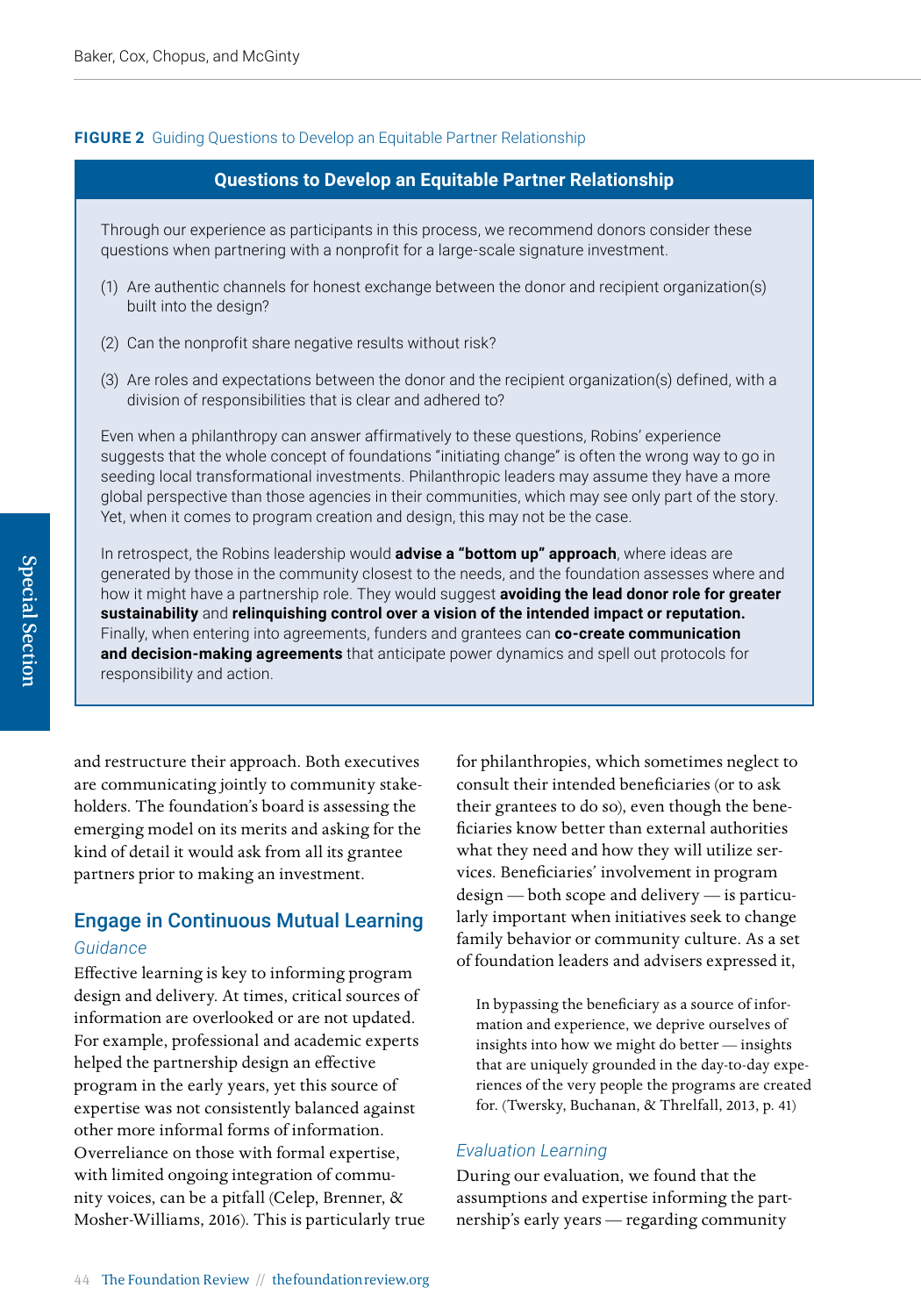#### **FIGURE 2** Guiding Questions to Develop an Equitable Partner Relationship

#### **Questions to Develop an Equitable Partner Relationship**

Through our experience as participants in this process, we recommend donors consider these questions when partnering with a nonprofit for a large-scale signature investment.

- (1) Are authentic channels for honest exchange between the donor and recipient organization(s) built into the design?
- (2) Can the nonprofit share negative results without risk?
- (3) Are roles and expectations between the donor and the recipient organization(s) defined, with a division of responsibilities that is clear and adhered to?

Even when a philanthropy can answer affirmatively to these questions, Robins' experience suggests that the whole concept of foundations "initiating change" is often the wrong way to go in seeding local transformational investments. Philanthropic leaders may assume they have a more global perspective than those agencies in their communities, which may see only part of the story. Yet, when it comes to program creation and design, this may not be the case.

In retrospect, the Robins leadership would **advise a "bottom up" approach**, where ideas are generated by those in the community closest to the needs, and the foundation assesses where and how it might have a partnership role. They would suggest **avoiding the lead donor role for greater sustainability** and **relinquishing control over a vision of the intended impact or reputation.**  Finally, when entering into agreements, funders and grantees can **co-create communication and decision-making agreements** that anticipate power dynamics and spell out protocols for responsibility and action.

and restructure their approach. Both executives are communicating jointly to community stakeholders. The foundation's board is assessing the emerging model on its merits and asking for the kind of detail it would ask from all its grantee partners prior to making an investment.

# Engage in Continuous Mutual Learning *Guidance*

Effective learning is key to informing program design and delivery. At times, critical sources of information are overlooked or are not updated. For example, professional and academic experts helped the partnership design an effective program in the early years, yet this source of expertise was not consistently balanced against other more informal forms of information. Overreliance on those with formal expertise, with limited ongoing integration of community voices, can be a pitfall (Celep, Brenner, & Mosher-Williams, 2016). This is particularly true

for philanthropies, which sometimes neglect to consult their intended beneficiaries (or to ask their grantees to do so), even though the beneficiaries know better than external authorities what they need and how they will utilize services. Beneficiaries' involvement in program design — both scope and delivery — is particularly important when initiatives seek to change family behavior or community culture. As a set of foundation leaders and advisers expressed it,

In bypassing the beneficiary as a source of information and experience, we deprive ourselves of insights into how we might do better — insights that are uniquely grounded in the day-to-day experiences of the very people the programs are created for. (Twersky, Buchanan, & Threlfall, 2013, p. 41)

#### *Evaluation Learning*

During our evaluation, we found that the assumptions and expertise informing the partnership's early years — regarding community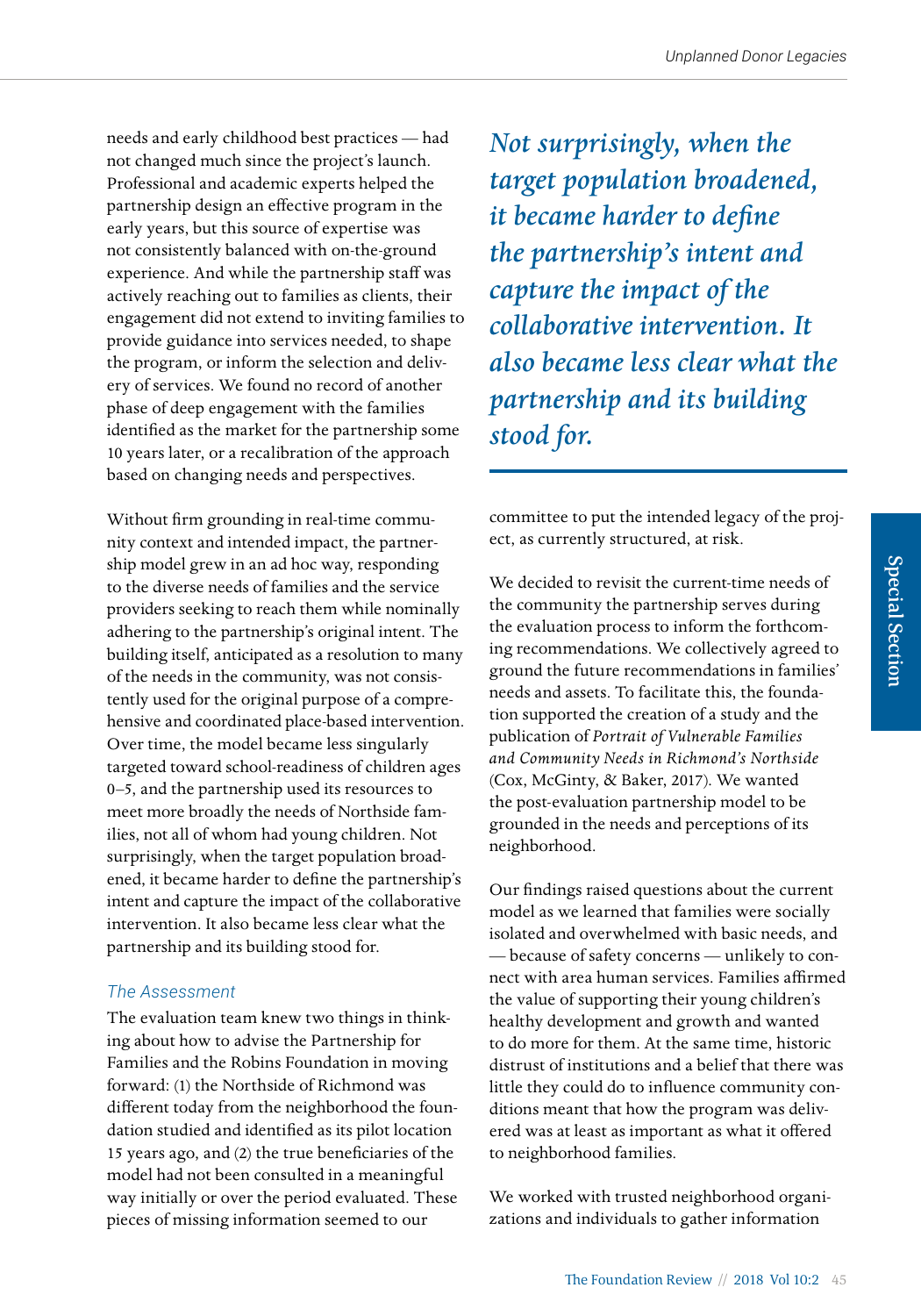needs and early childhood best practices — had not changed much since the project's launch. Professional and academic experts helped the partnership design an effective program in the early years, but this source of expertise was not consistently balanced with on-the-ground experience. And while the partnership staff was actively reaching out to families as clients, their engagement did not extend to inviting families to provide guidance into services needed, to shape the program, or inform the selection and delivery of services. We found no record of another phase of deep engagement with the families identified as the market for the partnership some 10 years later, or a recalibration of the approach based on changing needs and perspectives.

Without firm grounding in real-time community context and intended impact, the partnership model grew in an ad hoc way, responding to the diverse needs of families and the service providers seeking to reach them while nominally adhering to the partnership's original intent. The building itself, anticipated as a resolution to many of the needs in the community, was not consistently used for the original purpose of a comprehensive and coordinated place-based intervention. Over time, the model became less singularly targeted toward school-readiness of children ages 0–5, and the partnership used its resources to meet more broadly the needs of Northside families, not all of whom had young children. Not surprisingly, when the target population broadened, it became harder to define the partnership's intent and capture the impact of the collaborative intervention. It also became less clear what the partnership and its building stood for.

## *The Assessment*

The evaluation team knew two things in thinking about how to advise the Partnership for Families and the Robins Foundation in moving forward: (1) the Northside of Richmond was different today from the neighborhood the foundation studied and identified as its pilot location 15 years ago, and (2) the true beneficiaries of the model had not been consulted in a meaningful way initially or over the period evaluated. These pieces of missing information seemed to our

*Not surprisingly, when the target population broadened, it became harder to define the partnership's intent and capture the impact of the collaborative intervention. It also became less clear what the partnership and its building stood for.*

committee to put the intended legacy of the project, as currently structured, at risk.

We decided to revisit the current-time needs of the community the partnership serves during the evaluation process to inform the forthcoming recommendations. We collectively agreed to ground the future recommendations in families' needs and assets. To facilitate this, the foundation supported the creation of a study and the publication of *Portrait of Vulnerable Families and Community Needs in Richmond's Northside*  (Cox, McGinty, & Baker, 2017). We wanted the post-evaluation partnership model to be grounded in the needs and perceptions of its neighborhood.

Our findings raised questions about the current model as we learned that families were socially isolated and overwhelmed with basic needs, and — because of safety concerns — unlikely to connect with area human services. Families affirmed the value of supporting their young children's healthy development and growth and wanted to do more for them. At the same time, historic distrust of institutions and a belief that there was little they could do to influence community conditions meant that how the program was delivered was at least as important as what it offered to neighborhood families.

We worked with trusted neighborhood organizations and individuals to gather information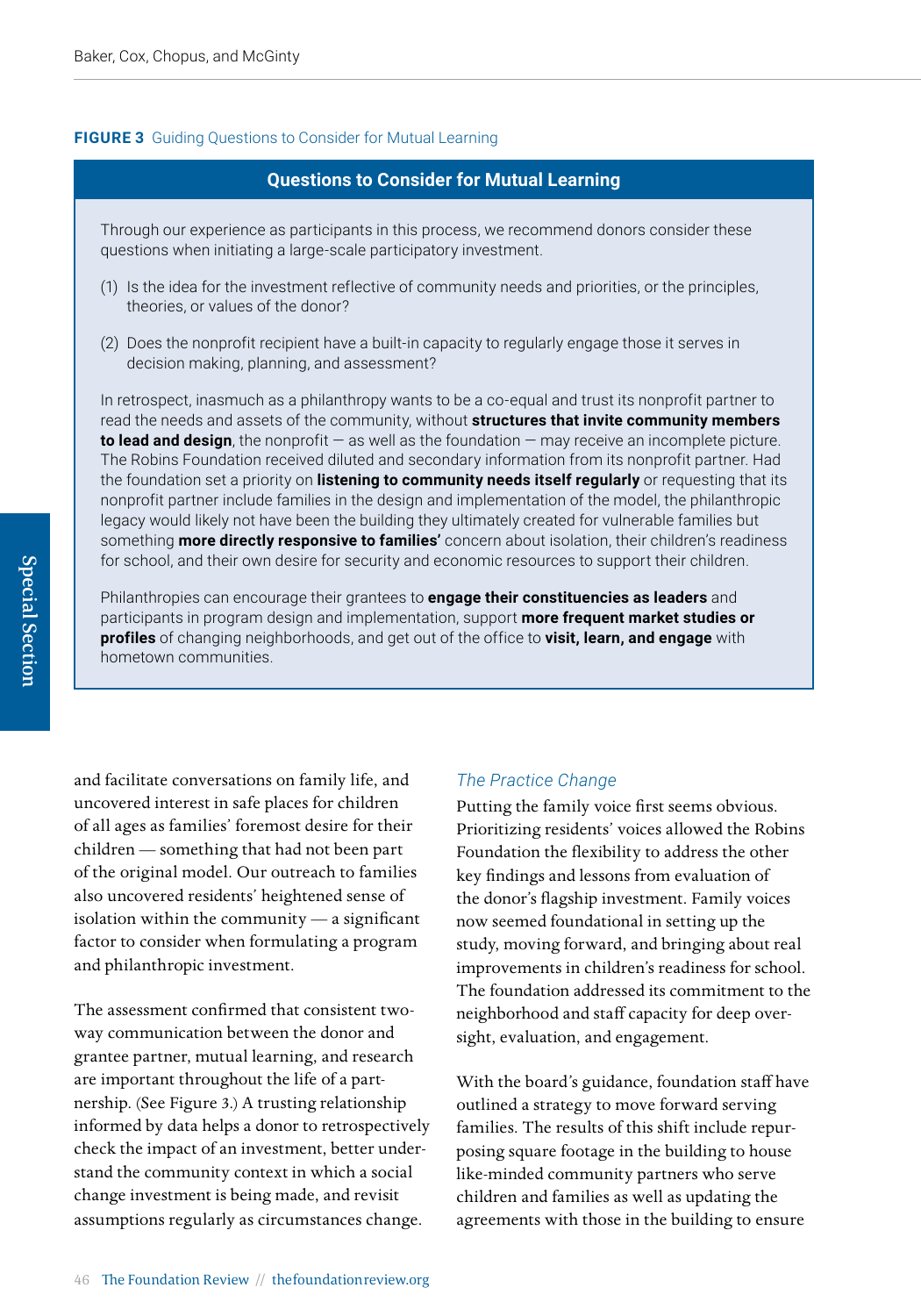#### **FIGURE 3** Guiding Questions to Consider for Mutual Learning

#### **Questions to Consider for Mutual Learning**

Through our experience as participants in this process, we recommend donors consider these questions when initiating a large-scale participatory investment.

- (1) Is the idea for the investment reflective of community needs and priorities, or the principles, theories, or values of the donor?
- (2) Does the nonprofit recipient have a built-in capacity to regularly engage those it serves in decision making, planning, and assessment?

In retrospect, inasmuch as a philanthropy wants to be a co-equal and trust its nonprofit partner to read the needs and assets of the community, without **structures that invite community members to lead and design**, the nonprofit — as well as the foundation — may receive an incomplete picture. The Robins Foundation received diluted and secondary information from its nonprofit partner. Had the foundation set a priority on **listening to community needs itself regularly** or requesting that its nonprofit partner include families in the design and implementation of the model, the philanthropic legacy would likely not have been the building they ultimately created for vulnerable families but something **more directly responsive to families'** concern about isolation, their children's readiness for school, and their own desire for security and economic resources to support their children.

Philanthropies can encourage their grantees to **engage their constituencies as leaders** and participants in program design and implementation, support **more frequent market studies or profiles** of changing neighborhoods, and get out of the office to **visit, learn, and engage** with hometown communities.

and facilitate conversations on family life, and uncovered interest in safe places for children of all ages as families' foremost desire for their children — something that had not been part of the original model. Our outreach to families also uncovered residents' heightened sense of isolation within the community — a significant factor to consider when formulating a program and philanthropic investment.

The assessment confirmed that consistent twoway communication between the donor and grantee partner, mutual learning, and research are important throughout the life of a partnership. (See Figure 3.) A trusting relationship informed by data helps a donor to retrospectively check the impact of an investment, better understand the community context in which a social change investment is being made, and revisit assumptions regularly as circumstances change.

#### *The Practice Change*

Putting the family voice first seems obvious. Prioritizing residents' voices allowed the Robins Foundation the flexibility to address the other key findings and lessons from evaluation of the donor's flagship investment. Family voices now seemed foundational in setting up the study, moving forward, and bringing about real improvements in children's readiness for school. The foundation addressed its commitment to the neighborhood and staff capacity for deep oversight, evaluation, and engagement.

With the board's guidance, foundation staff have outlined a strategy to move forward serving families. The results of this shift include repurposing square footage in the building to house like-minded community partners who serve children and families as well as updating the agreements with those in the building to ensure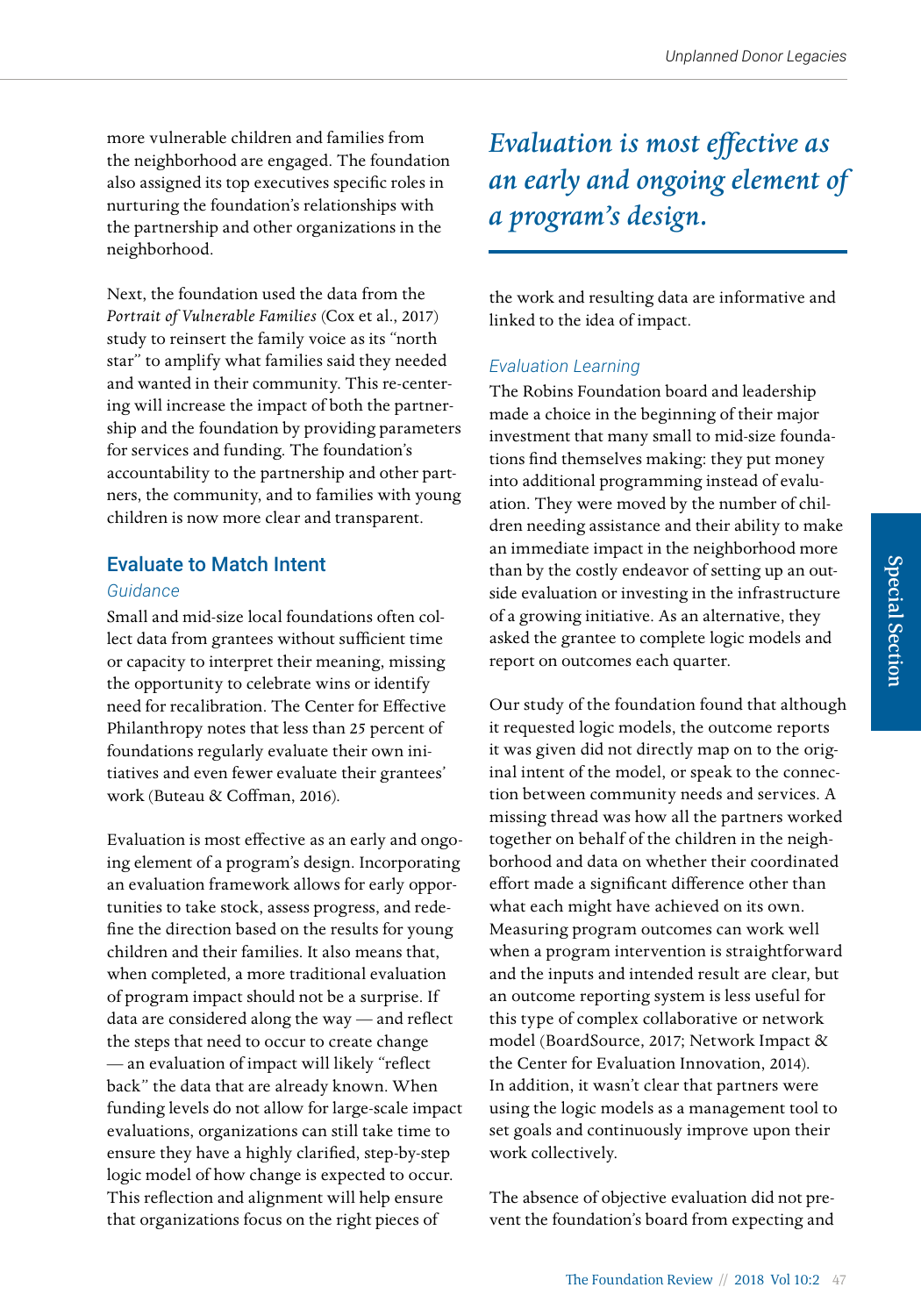more vulnerable children and families from the neighborhood are engaged. The foundation also assigned its top executives specific roles in nurturing the foundation's relationships with the partnership and other organizations in the neighborhood.

Next, the foundation used the data from the *Portrait of Vulnerable Families* (Cox et al., 2017) study to reinsert the family voice as its "north star" to amplify what families said they needed and wanted in their community. This re-centering will increase the impact of both the partnership and the foundation by providing parameters for services and funding. The foundation's accountability to the partnership and other partners, the community, and to families with young children is now more clear and transparent.

# Evaluate to Match Intent

#### *Guidance*

Small and mid-size local foundations often collect data from grantees without sufficient time or capacity to interpret their meaning, missing the opportunity to celebrate wins or identify need for recalibration. The Center for Effective Philanthropy notes that less than 25 percent of foundations regularly evaluate their own initiatives and even fewer evaluate their grantees' work (Buteau & Coffman, 2016).

Evaluation is most effective as an early and ongoing element of a program's design. Incorporating an evaluation framework allows for early opportunities to take stock, assess progress, and redefine the direction based on the results for young children and their families. It also means that, when completed, a more traditional evaluation of program impact should not be a surprise. If data are considered along the way — and reflect the steps that need to occur to create change — an evaluation of impact will likely "reflect back" the data that are already known. When funding levels do not allow for large-scale impact evaluations, organizations can still take time to ensure they have a highly clarified, step-by-step logic model of how change is expected to occur. This reflection and alignment will help ensure that organizations focus on the right pieces of

*Evaluation is most effective as an early and ongoing element of a program's design.* 

the work and resulting data are informative and linked to the idea of impact.

# *Evaluation Learning*

The Robins Foundation board and leadership made a choice in the beginning of their major investment that many small to mid-size foundations find themselves making: they put money into additional programming instead of evaluation. They were moved by the number of children needing assistance and their ability to make an immediate impact in the neighborhood more than by the costly endeavor of setting up an outside evaluation or investing in the infrastructure of a growing initiative. As an alternative, they asked the grantee to complete logic models and report on outcomes each quarter.

Our study of the foundation found that although it requested logic models, the outcome reports it was given did not directly map on to the original intent of the model, or speak to the connection between community needs and services. A missing thread was how all the partners worked together on behalf of the children in the neighborhood and data on whether their coordinated effort made a significant difference other than what each might have achieved on its own. Measuring program outcomes can work well when a program intervention is straightforward and the inputs and intended result are clear, but an outcome reporting system is less useful for this type of complex collaborative or network model (BoardSource, 2017; Network Impact & the Center for Evaluation Innovation, 2014). In addition, it wasn't clear that partners were using the logic models as a management tool to set goals and continuously improve upon their work collectively.

The absence of objective evaluation did not prevent the foundation's board from expecting and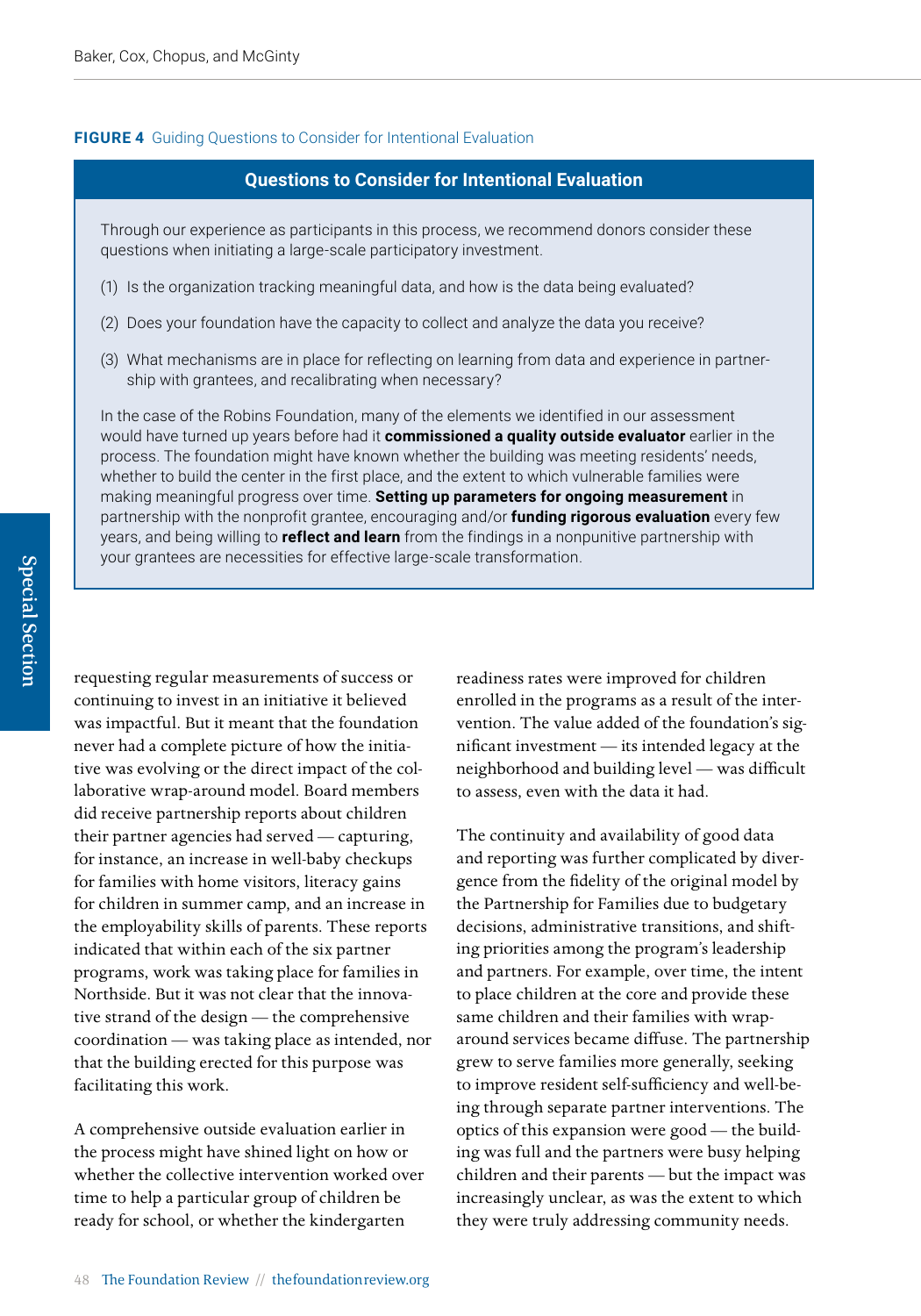#### **FIGURE 4** Guiding Questions to Consider for Intentional Evaluation

## **Questions to Consider for Intentional Evaluation**

Through our experience as participants in this process, we recommend donors consider these questions when initiating a large-scale participatory investment.

- (1) Is the organization tracking meaningful data, and how is the data being evaluated?
- (2) Does your foundation have the capacity to collect and analyze the data you receive?
- (3) What mechanisms are in place for reflecting on learning from data and experience in partnership with grantees, and recalibrating when necessary?

In the case of the Robins Foundation, many of the elements we identified in our assessment would have turned up years before had it **commissioned a quality outside evaluator** earlier in the process. The foundation might have known whether the building was meeting residents' needs, whether to build the center in the first place, and the extent to which vulnerable families were making meaningful progress over time. **Setting up parameters for ongoing measurement** in partnership with the nonprofit grantee, encouraging and/or **funding rigorous evaluation** every few years, and being willing to **reflect and learn** from the findings in a nonpunitive partnership with your grantees are necessities for effective large-scale transformation.

requesting regular measurements of success or continuing to invest in an initiative it believed was impactful. But it meant that the foundation never had a complete picture of how the initiative was evolving or the direct impact of the collaborative wrap-around model. Board members did receive partnership reports about children their partner agencies had served — capturing, for instance, an increase in well-baby checkups for families with home visitors, literacy gains for children in summer camp, and an increase in the employability skills of parents. These reports indicated that within each of the six partner programs, work was taking place for families in Northside. But it was not clear that the innovative strand of the design — the comprehensive coordination — was taking place as intended, nor that the building erected for this purpose was facilitating this work.

A comprehensive outside evaluation earlier in the process might have shined light on how or whether the collective intervention worked over time to help a particular group of children be ready for school, or whether the kindergarten

readiness rates were improved for children enrolled in the programs as a result of the intervention. The value added of the foundation's significant investment — its intended legacy at the neighborhood and building level — was difficult to assess, even with the data it had.

The continuity and availability of good data and reporting was further complicated by divergence from the fidelity of the original model by the Partnership for Families due to budgetary decisions, administrative transitions, and shifting priorities among the program's leadership and partners. For example, over time, the intent to place children at the core and provide these same children and their families with wraparound services became diffuse. The partnership grew to serve families more generally, seeking to improve resident self-sufficiency and well-being through separate partner interventions. The optics of this expansion were good — the building was full and the partners were busy helping children and their parents — but the impact was increasingly unclear, as was the extent to which they were truly addressing community needs.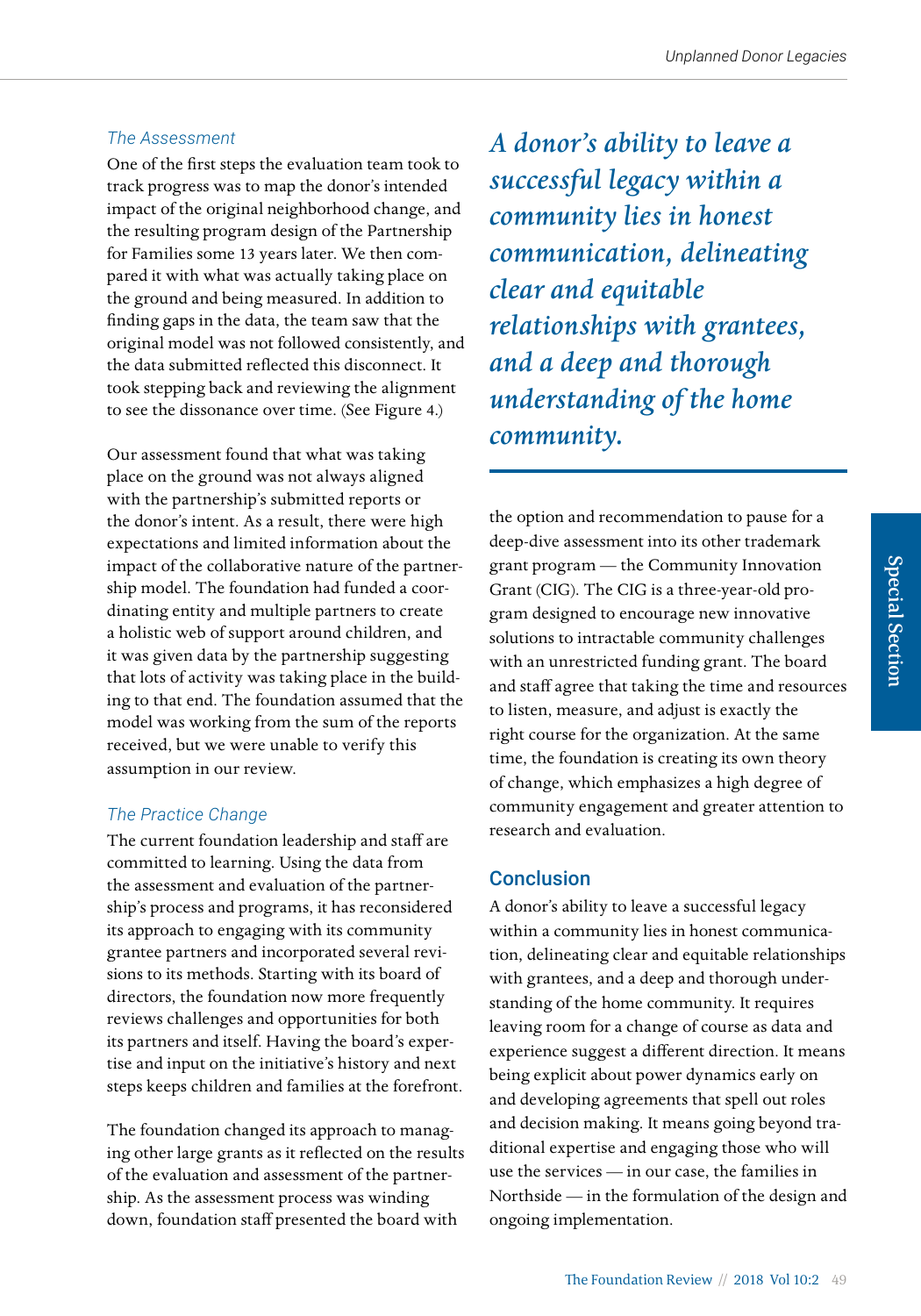#### *The Assessment*

One of the first steps the evaluation team took to track progress was to map the donor's intended impact of the original neighborhood change, and the resulting program design of the Partnership for Families some 13 years later. We then compared it with what was actually taking place on the ground and being measured. In addition to finding gaps in the data, the team saw that the original model was not followed consistently, and the data submitted reflected this disconnect. It took stepping back and reviewing the alignment to see the dissonance over time. (See Figure 4.)

Our assessment found that what was taking place on the ground was not always aligned with the partnership's submitted reports or the donor's intent. As a result, there were high expectations and limited information about the impact of the collaborative nature of the partnership model. The foundation had funded a coordinating entity and multiple partners to create a holistic web of support around children, and it was given data by the partnership suggesting that lots of activity was taking place in the building to that end. The foundation assumed that the model was working from the sum of the reports received, but we were unable to verify this assumption in our review.

## *The Practice Change*

The current foundation leadership and staff are committed to learning. Using the data from the assessment and evaluation of the partnership's process and programs, it has reconsidered its approach to engaging with its community grantee partners and incorporated several revisions to its methods. Starting with its board of directors, the foundation now more frequently reviews challenges and opportunities for both its partners and itself. Having the board's expertise and input on the initiative's history and next steps keeps children and families at the forefront.

The foundation changed its approach to managing other large grants as it reflected on the results of the evaluation and assessment of the partnership. As the assessment process was winding down, foundation staff presented the board with

*A donor's ability to leave a successful legacy within a community lies in honest communication, delineating clear and equitable relationships with grantees, and a deep and thorough understanding of the home community.* 

the option and recommendation to pause for a deep-dive assessment into its other trademark grant program — the Community Innovation Grant (CIG). The CIG is a three-year-old program designed to encourage new innovative solutions to intractable community challenges with an unrestricted funding grant. The board and staff agree that taking the time and resources to listen, measure, and adjust is exactly the right course for the organization. At the same time, the foundation is creating its own theory of change, which emphasizes a high degree of community engagement and greater attention to research and evaluation.

# Conclusion

A donor's ability to leave a successful legacy within a community lies in honest communication, delineating clear and equitable relationships with grantees, and a deep and thorough understanding of the home community. It requires leaving room for a change of course as data and experience suggest a different direction. It means being explicit about power dynamics early on and developing agreements that spell out roles and decision making. It means going beyond traditional expertise and engaging those who will use the services — in our case, the families in Northside — in the formulation of the design and ongoing implementation.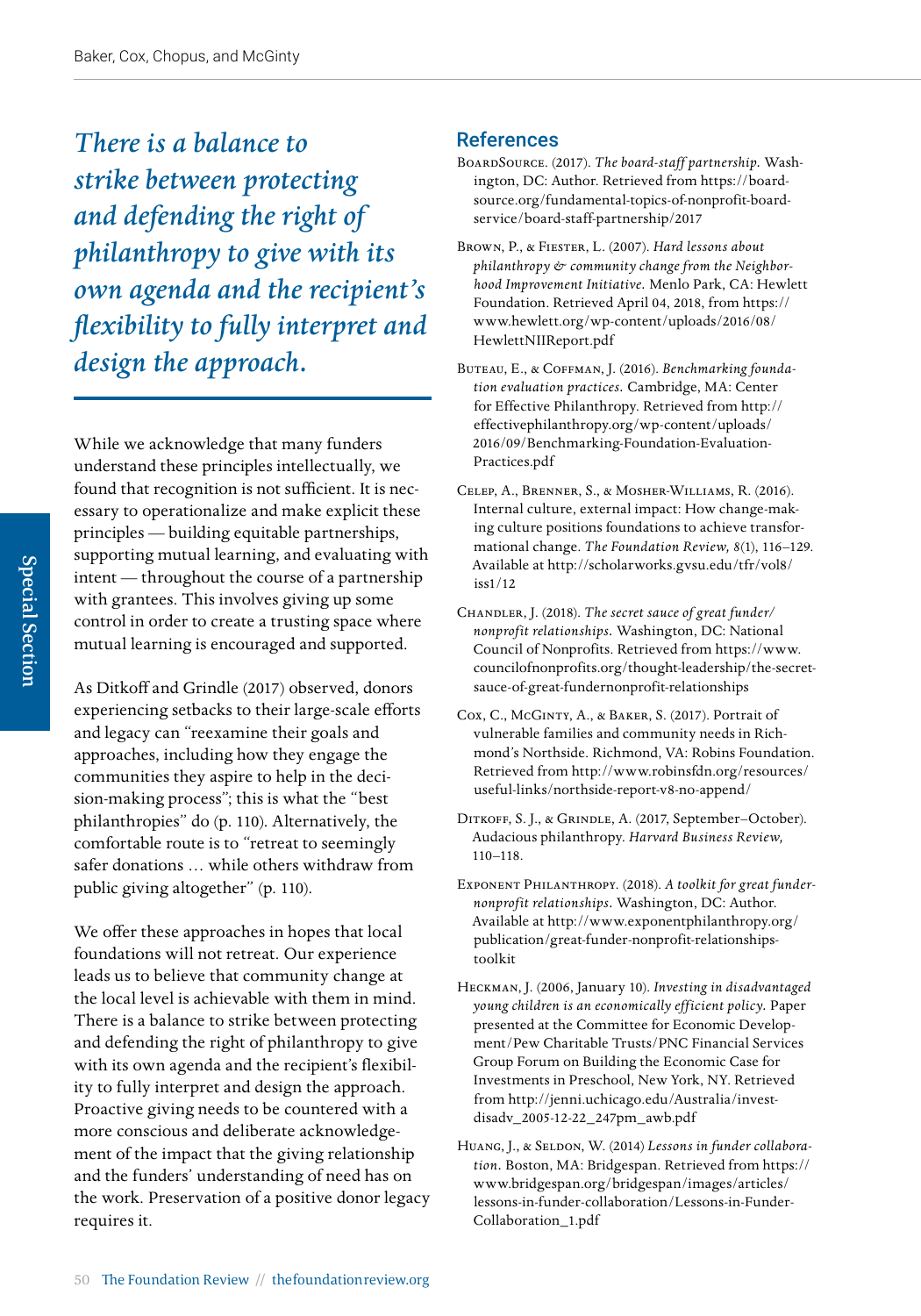*There is a balance to strike between protecting and defending the right of philanthropy to give with its own agenda and the recipient's flexibility to fully interpret and design the approach.* 

While we acknowledge that many funders understand these principles intellectually, we found that recognition is not sufficient. It is necessary to operationalize and make explicit these principles — building equitable partnerships, supporting mutual learning, and evaluating with intent — throughout the course of a partnership with grantees. This involves giving up some control in order to create a trusting space where mutual learning is encouraged and supported.

As Ditkoff and Grindle (2017) observed, donors experiencing setbacks to their large-scale efforts and legacy can "reexamine their goals and approaches, including how they engage the communities they aspire to help in the decision-making process"; this is what the "best philanthropies" do (p. 110). Alternatively, the comfortable route is to "retreat to seemingly safer donations … while others withdraw from public giving altogether" (p. 110).

We offer these approaches in hopes that local foundations will not retreat. Our experience leads us to believe that community change at the local level is achievable with them in mind. There is a balance to strike between protecting and defending the right of philanthropy to give with its own agenda and the recipient's flexibility to fully interpret and design the approach. Proactive giving needs to be countered with a more conscious and deliberate acknowledgement of the impact that the giving relationship and the funders' understanding of need has on the work. Preservation of a positive donor legacy requires it.

# References

- BoardSource. (2017). *The board-staff partnership.* Washington, DC: Author. Retrieved from [https://board](https://boardsource.org/fundamental-topics-of-nonprofit-board-service/board-staff-partnership/2017)[source.org/fundamental-topics-of-nonprofit-board](https://boardsource.org/fundamental-topics-of-nonprofit-board-service/board-staff-partnership/2017)[service/board-staff-partnership/2017](https://boardsource.org/fundamental-topics-of-nonprofit-board-service/board-staff-partnership/2017)
- Brown, P., & Fiester, L. (2007). *Hard lessons about philanthropy & community change from the Neighborhood Improvement Initiative.* Menlo Park, CA: Hewlett Foundation. Retrieved April 04, 2018, from [https://](https://www.hewlett.org/wp-content/uploads/2016/08/HewlettNIIReport.pdf) [www.hewlett.org/wp-content/uploads/2016/08/](https://www.hewlett.org/wp-content/uploads/2016/08/HewlettNIIReport.pdf) [HewlettNIIReport.pdf](https://www.hewlett.org/wp-content/uploads/2016/08/HewlettNIIReport.pdf)
- BUTEAU, E., & COFFMAN, J. (2016). *Benchmarking foundation evaluation practices.* Cambridge, MA: Center for Effective Philanthropy. Retrieved from [http://](http://effectivephilanthropy.org/wp-content/uploads/2016/09/Benchmarking-Foundation-Evaluation-Practices.pdf) [effectivephilanthropy.org/wp-content/uploads/](http://effectivephilanthropy.org/wp-content/uploads/2016/09/Benchmarking-Foundation-Evaluation-Practices.pdf) [2016/09/Benchmarking-Foundation-Evaluation-](http://effectivephilanthropy.org/wp-content/uploads/2016/09/Benchmarking-Foundation-Evaluation-Practices.pdf)[Practices.pdf](http://effectivephilanthropy.org/wp-content/uploads/2016/09/Benchmarking-Foundation-Evaluation-Practices.pdf)
- Celep, A., Brenner, S., & Mosher-Williams, R. (2016). Internal culture, external impact: How change-making culture positions foundations to achieve transformational change. *The Foundation Review, 8*(1), 116–129. Available at [http://scholarworks.gvsu.edu/tfr/vol8/](http://scholarworks.gvsu.edu/tfr/vol8/iss1/12) [iss1/12](http://scholarworks.gvsu.edu/tfr/vol8/iss1/12)
- Chandler, J. (2018). *The secret sauce of great funder/ nonprofit relationships.* Washington, DC: National Council of Nonprofits. Retrieved from h[ttps://www.](https://www.councilofnonprofits.org/thought-leadership/the-secret-sauce-of-great-fundernonprofit-relationships) [councilofnonprofits.org/thought-leadership/the-secret](https://www.councilofnonprofits.org/thought-leadership/the-secret-sauce-of-great-fundernonprofit-relationships)[sauce-of-great-fundernonprofit-relationships](https://www.councilofnonprofits.org/thought-leadership/the-secret-sauce-of-great-fundernonprofit-relationships)
- Cox, C., McGinty, A., & Baker, S. (2017). Portrait of vulnerable families and community needs in Richmond's Northside. Richmond, VA: Robins Foundation. Retrieved from http://www.robinsfdn.org/resources/ useful-links/northside-report-v8-no-append/
- Ditkoff, S. J., & Grindle, A. (2017, September–October). Audacious philanthropy. *Harvard Business Review,*  110–118.
- Exponent Philanthropy. (2018). *A toolkit for great fundernonprofit relationships.* Washington, DC: Author. Available at [http://www.exponentphilanthropy.org/](http://www.exponentphilanthropy.org/publication/great-funder-nonprofit-relationships-toolkit) [publication/great-funder-nonprofit-relationships](http://www.exponentphilanthropy.org/publication/great-funder-nonprofit-relationships-toolkit)[toolkit](http://www.exponentphilanthropy.org/publication/great-funder-nonprofit-relationships-toolkit)
- Heckman, J. (2006, January 10). *Investing in disadvantaged young children is an economically efficient policy.* Paper presented at the Committee for Economic Development/Pew Charitable Trusts/PNC Financial Services Group Forum on Building the Economic Case for Investments in Preschool, New York, NY. Retrieved from [http://jenni.uchicago.edu/Australia/invest](http://jenni.uchicago.edu/Australia/invest-disadv_2005-12-22_247pm_awb.pdf)[disadv\\_2005-12-22\\_247pm\\_awb.pdf](http://jenni.uchicago.edu/Australia/invest-disadv_2005-12-22_247pm_awb.pdf)
- Huang, J., & Seldon, W. (2014) *Lessons in funder collaboration.* Boston, MA: Bridgespan. Retrieved from [https://](https://www.bridgespan.org/bridgespan/images/articles/lessons-in-funder-collaboration/Lessons-in-FunderCollaboration_1.pdf) [www.bridgespan.org/bridgespan/images/articles/](https://www.bridgespan.org/bridgespan/images/articles/lessons-in-funder-collaboration/Lessons-in-FunderCollaboration_1.pdf) [lessons-in-funder-collaboration/Lessons-in-Funder-](https://www.bridgespan.org/bridgespan/images/articles/lessons-in-funder-collaboration/Lessons-in-FunderCollaboration_1.pdf)[Collaboration\\_1.pdf](https://www.bridgespan.org/bridgespan/images/articles/lessons-in-funder-collaboration/Lessons-in-FunderCollaboration_1.pdf)